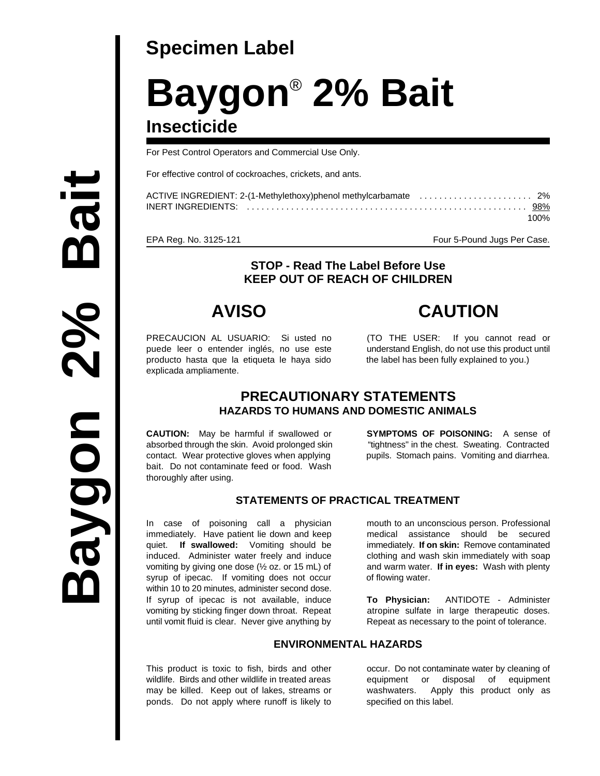## **Specimen Label**

# **Baygon<sup>®</sup> 2% Bait Insecticide**

For Pest Control Operators and Commercial Use Only.

For effective control of cockroaches, crickets, and ants.

| 100% |
|------|

EPA Reg. No. 3125-121 **Four 5-Pound Jugs Per Case.** 

#### **STOP - Read The Label Before Use KEEP OUT OF REACH OF CHILDREN**

PRECAUCION AL USUARIO: Si usted no (TO THE USER: If you cannot read or puede leer o entender inglés, no use este understand English, do not use this product until producto hasta que la etiqueta le haya sido the label has been fully explained to you.) explicada ampliamente.

**AVISO CAUTION**

#### **PRECAUTIONARY STATEMENTS HAZARDS TO HUMANS AND DOMESTIC ANIMALS**

**CAUTION:** May be harmful if swallowed or **SYMPTOMS OF POISONING:** A sense of absorbed through the skin. Avoid prolonged skin "tightness" in the chest. Sweating. Contracted contact. Wear protective gloves when applying pupils. Stomach pains. Vomiting and diarrhea. bait. Do not contaminate feed or food. Wash thoroughly after using.

#### **STATEMENTS OF PRACTICAL TREATMENT**

In case of poisoning call a physician mouth to an unconscious person. Professional immediately. Have patient lie down and keep medical assistance should be secured quiet. **If swallowed:** Vomiting should be immediately. **If on skin:** Remove contaminated induced. Administer water freely and induce clothing and wash skin immediately with soap vomiting by giving one dose (½ oz. or 15 mL) of and warm water. **If in eyes:** Wash with plenty syrup of ipecac. If vomiting does not occur of flowing water. within 10 to 20 minutes, administer second dose. If syrup of ipecac is not available, induce **To Physician:** ANTIDOTE - Administer vomiting by sticking finger down throat. Repeat atropine sulfate in large therapeutic doses. until vomit fluid is clear. Never give anything by Repeat as necessary to the point of tolerance.

#### **ENVIRONMENTAL HAZARDS**

This product is toxic to fish, birds and other occur. Do not contaminate water by cleaning of wildlife. Birds and other wildlife in treated areas equipment or disposal of equipment may be killed. Keep out of lakes, streams or washwaters. Apply this product only as ponds. Do not apply where runoff is likely to specified on this label.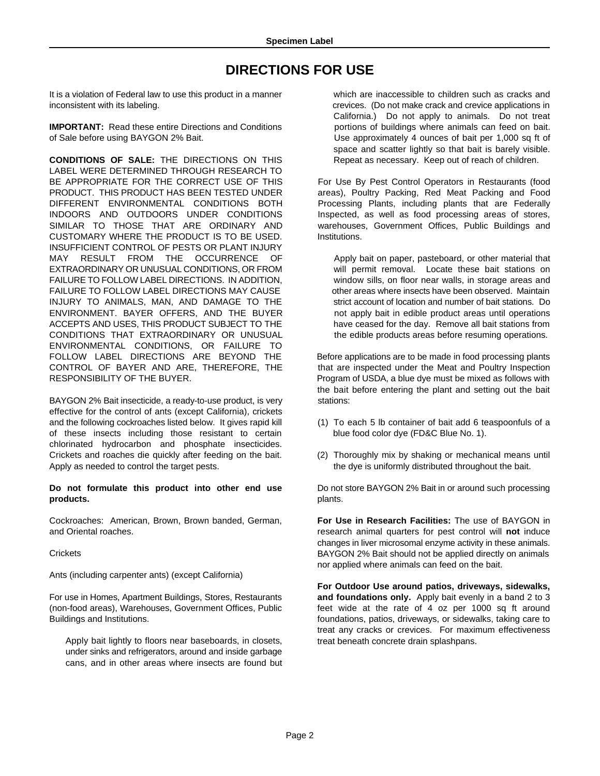### **DIRECTIONS FOR USE**

It is a violation of Federal law to use this product in a manner which are inaccessible to children such as cracks and inconsistent with its labeling. crevices. (Do not make crack and crevice applications in

**IMPORTANT:** Read these entire Directions and Conditions **portions** portions of buildings where animals can feed on bait. of Sale before using BAYGON 2% Bait. Use approximately 4 ounces of bait per 1,000 sq ft of

**CONDITIONS OF SALE:** THE DIRECTIONS ON THIS Repeat as necessary. Keep out of reach of children. LABEL WERE DETERMINED THROUGH RESEARCH TO BE APPROPRIATE FOR THE CORRECT USE OF THIS For Use By Pest Control Operators in Restaurants (food PRODUCT. THIS PRODUCT HAS BEEN TESTED UNDER areas), Poultry Packing, Red Meat Packing and Food DIFFERENT ENVIRONMENTAL CONDITIONS BOTH Processing Plants, including plants that are Federally INDOORS AND OUTDOORS UNDER CONDITIONS Inspected, as well as food processing areas of stores, SIMILAR TO THOSE THAT ARE ORDINARY AND warehouses, Government Offices, Public Buildings and CUSTOMARY WHERE THE PRODUCT IS TO BE USED. Institutions. INSUFFICIENT CONTROL OF PESTS OR PLANT INJURY MAY RESULT FROM THE OCCURRENCE OF Apply bait on paper, pasteboard, or other material that EXTRAORDINARY OR UNUSUAL CONDITIONS, OR FROM will permit removal. Locate these bait stations on FAILURE TO FOLLOW LABEL DIRECTIONS. IN ADDITION, window sills, on floor near walls, in storage areas and FAILURE TO FOLLOW LABEL DIRECTIONS MAY CAUSE other areas where insects have been observed. Maintain INJURY TO ANIMALS, MAN, AND DAMAGE TO THE strict account of location and number of bait stations. Do ENVIRONMENT. BAYER OFFERS, AND THE BUYER not apply bait in edible product areas until operations ACCEPTS AND USES, THIS PRODUCT SUBJECT TO THE have ceased for the day. Remove all bait stations from CONDITIONS THAT EXTRAORDINARY OR UNUSUAL the edible products areas before resuming operations. ENVIRONMENTAL CONDITIONS, OR FAILURE TO FOLLOW LABEL DIRECTIONS ARE BEYOND THE Before applications are to be made in food processing plants CONTROL OF BAYER AND ARE, THEREFORE, THE that are inspected under the Meat and Poultry Inspection RESPONSIBILITY OF THE BUYER. **Program of USDA, a blue dye must be mixed as follows with** 

BAYGON 2% Bait insecticide, a ready-to-use product, is very stations: effective for the control of ants (except California), crickets and the following cockroaches listed below. It gives rapid kill (1) To each 5 lb container of bait add 6 teaspoonfuls of a of these insects including those resistant to certain blue food color dye (FD&C Blue No. 1). chlorinated hydrocarbon and phosphate insecticides. Crickets and roaches die quickly after feeding on the bait. (2) Thoroughly mix by shaking or mechanical means until Apply as needed to control the target pests. The table of the dye is uniformly distributed throughout the bait.

**Do not formulate this product into other end use products.**

Cockroaches: American, Brown, Brown banded, German, and Oriental roaches.

**Crickets** 

Ants (including carpenter ants) (except California)

For use in Homes, Apartment Buildings, Stores, Restaurants (non-food areas), Warehouses, Government Offices, Public Buildings and Institutions.

Apply bait lightly to floors near baseboards, in closets, under sinks and refrigerators, around and inside garbage cans, and in other areas where insects are found but California.) Do not apply to animals. Do not treat space and scatter lightly so that bait is barely visible.

the bait before entering the plant and setting out the bait

- 
- 

Do not store BAYGON 2% Bait in or around such processing plants.

**For Use in Research Facilities:** The use of BAYGON in research animal quarters for pest control will **not** induce changes in liver microsomal enzyme activity in these animals. BAYGON 2% Bait should not be applied directly on animals nor applied where animals can feed on the bait.

**For Outdoor Use around patios, driveways, sidewalks, and foundations only.** Apply bait evenly in a band 2 to 3 feet wide at the rate of 4 oz per 1000 sq ft around foundations, patios, driveways, or sidewalks, taking care to treat any cracks or crevices. For maximum effectiveness treat beneath concrete drain splashpans.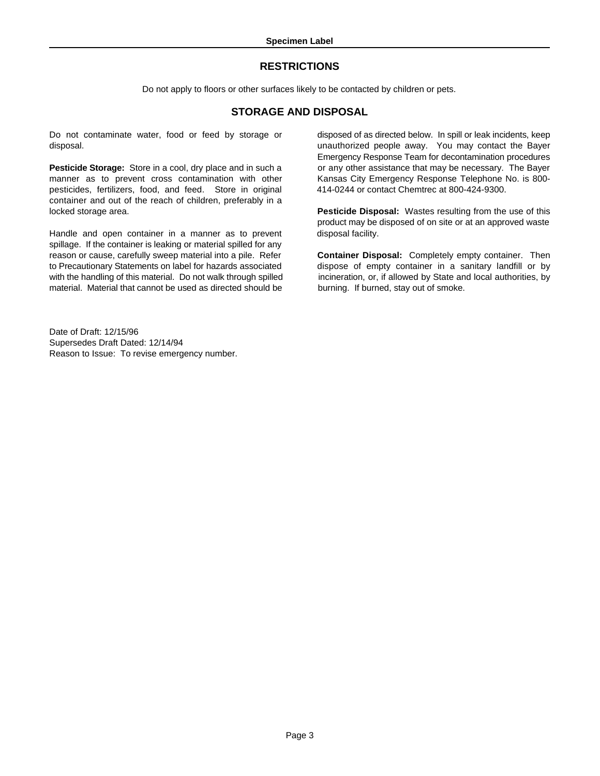#### **RESTRICTIONS**

Do not apply to floors or other surfaces likely to be contacted by children or pets.

#### **STORAGE AND DISPOSAL**

Do not contaminate water, food or feed by storage or disposed of as directed below. In spill or leak incidents, keep

**Pesticide Storage:** Store in a cool, dry place and in such a or any other assistance that may be necessary. The Bayer manner as to prevent cross contamination with other Kansas City Emergency Response Telephone No. is 800pesticides, fertilizers, food, and feed. Store in original 414-0244 or contact Chemtrec at 800-424-9300. container and out of the reach of children, preferably in a locked storage area. **Pesticide Disposal:** Wastes resulting from the use of this

Handle and open container in a manner as to prevent disposal facility. spillage. If the container is leaking or material spilled for any reason or cause, carefully sweep material into a pile. Refer **Container Disposal:** Completely empty container. Then to Precautionary Statements on label for hazards associated dispose of empty container in a sanitary landfill or by with the handling of this material. Do not walk through spilled incineration, or, if allowed by State and local authorities, by material. Material that cannot be used as directed should be burning. If burned, stay out of smoke.

Date of Draft: 12/15/96 Supersedes Draft Dated: 12/14/94 Reason to Issue: To revise emergency number.

disposal. unauthorized people away. You may contact the Bayer Emergency Response Team for decontamination procedures

product may be disposed of on site or at an approved waste